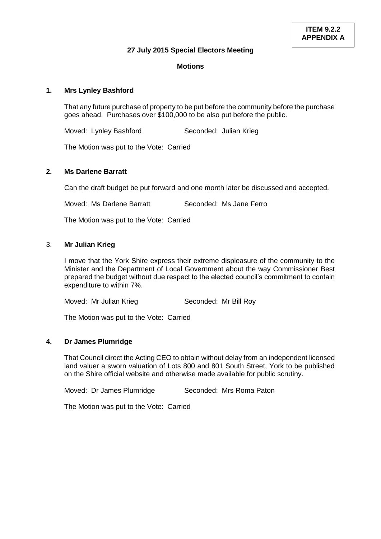#### **27 July 2015 Special Electors Meeting**

## **Motions**

## **1. Mrs Lynley Bashford**

That any future purchase of property to be put before the community before the purchase goes ahead. Purchases over \$100,000 to be also put before the public.

Moved: Lynley Bashford Seconded: Julian Krieg

The Motion was put to the Vote: Carried

## **2. Ms Darlene Barratt**

Can the draft budget be put forward and one month later be discussed and accepted.

Moved: Ms Darlene Barratt Seconded: Ms Jane Ferro

The Motion was put to the Vote: Carried

#### 3. **Mr Julian Krieg**

I move that the York Shire express their extreme displeasure of the community to the Minister and the Department of Local Government about the way Commissioner Best prepared the budget without due respect to the elected council's commitment to contain expenditure to within 7%.

Moved: Mr Julian Krieg Seconded: Mr Bill Roy

The Motion was put to the Vote: Carried

# **4. Dr James Plumridge**

That Council direct the Acting CEO to obtain without delay from an independent licensed land valuer a sworn valuation of Lots 800 and 801 South Street, York to be published on the Shire official website and otherwise made available for public scrutiny.

Moved: Dr James Plumridge Seconded: Mrs Roma Paton

The Motion was put to the Vote: Carried